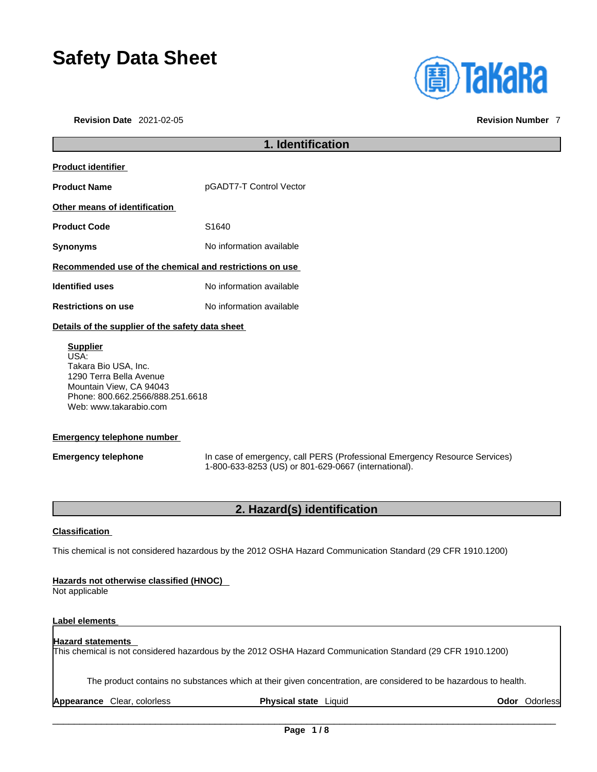# **Safety Data Sheet**

**Revision Date** 2021-02-05 **Revision Number** 7



### **1. Identification Product identifier Product Name pGADT7-T Control Vector Other means of identification Product Code 51640 Synonyms** No information available **Recommended use of the chemical and restrictions on use Identified uses** No information available **Restrictions on use** No information available **Details of the supplier of the safety data sheet Supplier** USA: Takara Bio USA, Inc. 1290 Terra Bella Avenue Mountain View, CA 94043 Phone: 800.662.2566/888.251.6618

### **Emergency telephone number**

Web: www.takarabio.com

**Emergency telephone** In case of emergency, call PERS (Professional Emergency Resource Services) 1-800-633-8253 (US) or 801-629-0667 (international).

### **2. Hazard(s) identification**

### **Classification**

This chemical is not considered hazardous by the 2012 OSHA Hazard Communication Standard (29 CFR 1910.1200)

### **Hazards not otherwise classified (HNOC)**

Not applicable

### **Label elements**

### **Hazard statements**  This chemical is not considered hazardous by the 2012 OSHA Hazard Communication Standard (29 CFR 1910.1200)

The product contains no substances which at their given concentration, are considered to be hazardous to health.

**Appearance** Clear, colorless **Physical state** Liquid **Odor** Odorless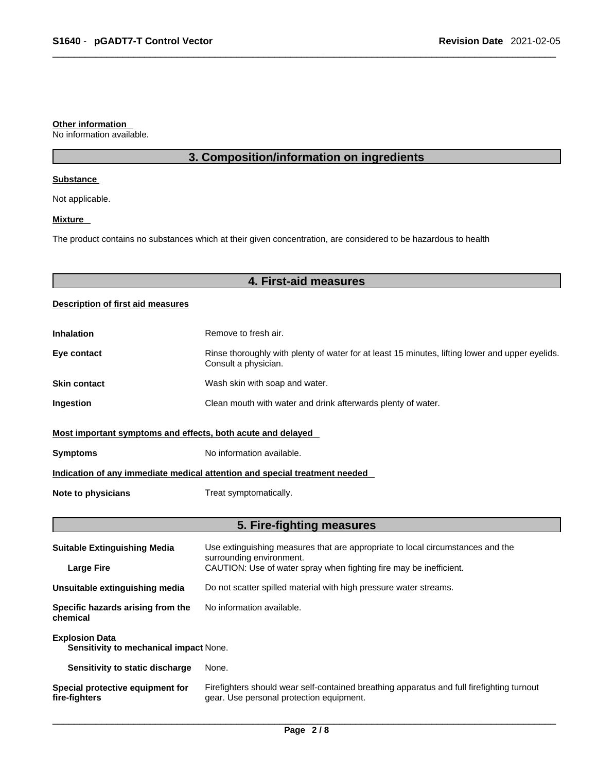### **Other information**

No information available.

### **3. Composition/information on ingredients**

### **Substance**

Not applicable.

### **Mixture**

The product contains no substances which at their given concentration, are considered to be hazardous to health

### **4. First-aid measures**

### **Description of first aid measures**

| <b>Inhalation</b>                                                          | Remove to fresh air.                                                                                                    |  |
|----------------------------------------------------------------------------|-------------------------------------------------------------------------------------------------------------------------|--|
| Eye contact                                                                | Rinse thoroughly with plenty of water for at least 15 minutes, lifting lower and upper eyelids.<br>Consult a physician. |  |
| <b>Skin contact</b>                                                        | Wash skin with soap and water.                                                                                          |  |
| Ingestion                                                                  | Clean mouth with water and drink afterwards plenty of water.                                                            |  |
| Most important symptoms and effects, both acute and delayed                |                                                                                                                         |  |
| <b>Symptoms</b>                                                            | No information available.                                                                                               |  |
| Indication of any immediate medical attention and special treatment needed |                                                                                                                         |  |
| Note to physicians                                                         | Treat symptomatically.                                                                                                  |  |

### **5. Fire-fighting measures**

| <b>Suitable Extinguishing Media</b>                             | Use extinguishing measures that are appropriate to local circumstances and the<br>surrounding environment.                            |  |
|-----------------------------------------------------------------|---------------------------------------------------------------------------------------------------------------------------------------|--|
| <b>Large Fire</b>                                               | CAUTION: Use of water spray when fighting fire may be inefficient.                                                                    |  |
| Unsuitable extinguishing media                                  | Do not scatter spilled material with high pressure water streams.                                                                     |  |
| Specific hazards arising from the<br>chemical                   | No information available.                                                                                                             |  |
| <b>Explosion Data</b><br>Sensitivity to mechanical impact None. |                                                                                                                                       |  |
| Sensitivity to static discharge                                 | None.                                                                                                                                 |  |
| Special protective equipment for<br>fire-fighters               | Firefighters should wear self-contained breathing apparatus and full firefighting turnout<br>gear. Use personal protection equipment. |  |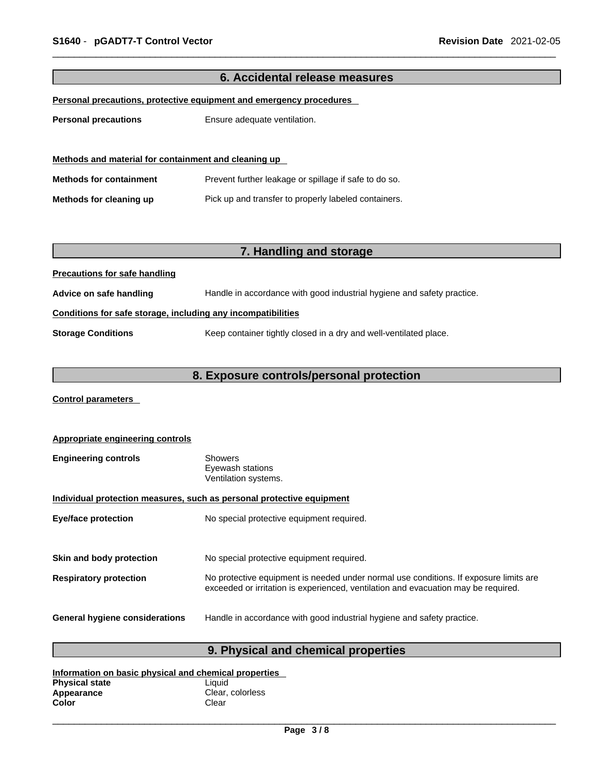| 6. Accidental release measures                               |                                                                        |  |
|--------------------------------------------------------------|------------------------------------------------------------------------|--|
|                                                              | Personal precautions, protective equipment and emergency procedures    |  |
|                                                              |                                                                        |  |
| <b>Personal precautions</b>                                  | Ensure adequate ventilation.                                           |  |
|                                                              |                                                                        |  |
| Methods and material for containment and cleaning up         |                                                                        |  |
| <b>Methods for containment</b>                               | Prevent further leakage or spillage if safe to do so.                  |  |
| Methods for cleaning up                                      | Pick up and transfer to properly labeled containers.                   |  |
|                                                              |                                                                        |  |
|                                                              |                                                                        |  |
|                                                              | 7. Handling and storage                                                |  |
| <b>Precautions for safe handling</b>                         |                                                                        |  |
| Advice on safe handling                                      | Handle in accordance with good industrial hygiene and safety practice. |  |
| Conditions for safe storage, including any incompatibilities |                                                                        |  |
| <b>Storage Conditions</b>                                    | Keep container tightly closed in a dry and well-ventilated place.      |  |
|                                                              |                                                                        |  |
| 8. Exposure controls/personal protection                     |                                                                        |  |

**Control parameters** 

| <b>Appropriate engineering controls</b>                               |                                                                                                                                                                             |  |
|-----------------------------------------------------------------------|-----------------------------------------------------------------------------------------------------------------------------------------------------------------------------|--|
| <b>Engineering controls</b>                                           | <b>Showers</b><br>Eyewash stations<br>Ventilation systems.                                                                                                                  |  |
| Individual protection measures, such as personal protective equipment |                                                                                                                                                                             |  |
| <b>Eye/face protection</b>                                            | No special protective equipment required.                                                                                                                                   |  |
|                                                                       |                                                                                                                                                                             |  |
| Skin and body protection                                              | No special protective equipment required.                                                                                                                                   |  |
| <b>Respiratory protection</b>                                         | No protective equipment is needed under normal use conditions. If exposure limits are<br>exceeded or irritation is experienced, ventilation and evacuation may be required. |  |
| <b>General hygiene considerations</b>                                 | Handle in accordance with good industrial hygiene and safety practice.                                                                                                      |  |

## **9. Physical and chemical properties**

| Information on basic physical and chemical properties |                  |  |
|-------------------------------------------------------|------------------|--|
| <b>Physical state</b>                                 | Liauid           |  |
| Appearance                                            | Clear, colorless |  |
| Color                                                 | Clear            |  |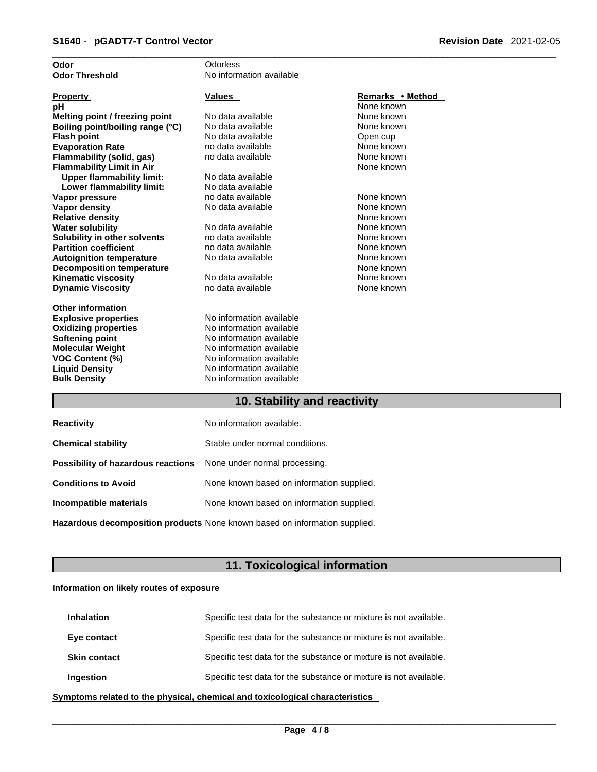| No information available<br><b>Odor Threshold</b><br><b>Values</b><br>Remarks • Method<br><b>Property</b><br>None known<br>рH<br>None known<br>Melting point / freezing point<br>No data available<br>Boiling point/boiling range (°C)<br>No data available<br>None known<br>No data available<br><b>Flash point</b><br>Open cup<br>None known<br><b>Evaporation Rate</b><br>no data available<br>Flammability (solid, gas)<br>no data available<br>None known<br><b>Flammability Limit in Air</b><br>None known<br><b>Upper flammability limit:</b><br>No data available<br>No data available<br>Lower flammability limit:<br>no data available<br>None known<br>Vapor pressure<br>None known<br><b>Vapor density</b><br>No data available<br>None known<br><b>Relative density</b><br><b>Water solubility</b><br>No data available<br>None known<br>Solubility in other solvents<br>no data available<br>None known<br><b>Partition coefficient</b><br>no data available<br>None known<br>No data available<br>None known<br><b>Autoignition temperature</b><br>None known<br><b>Decomposition temperature</b><br>No data available<br><b>Kinematic viscosity</b><br>None known<br>None known<br><b>Dynamic Viscosity</b><br>no data available<br><b>Other information</b><br>No information available<br><b>Explosive properties</b><br><b>Oxidizing properties</b><br>No information available<br>No information available<br><b>Softening point</b><br>No information available<br><b>Molecular Weight</b><br><b>VOC Content (%)</b><br>No information available<br>No information available<br><b>Liquid Density</b><br><b>Bulk Density</b><br>No information available | Odor | Odorless |  |
|-------------------------------------------------------------------------------------------------------------------------------------------------------------------------------------------------------------------------------------------------------------------------------------------------------------------------------------------------------------------------------------------------------------------------------------------------------------------------------------------------------------------------------------------------------------------------------------------------------------------------------------------------------------------------------------------------------------------------------------------------------------------------------------------------------------------------------------------------------------------------------------------------------------------------------------------------------------------------------------------------------------------------------------------------------------------------------------------------------------------------------------------------------------------------------------------------------------------------------------------------------------------------------------------------------------------------------------------------------------------------------------------------------------------------------------------------------------------------------------------------------------------------------------------------------------------------------------------------------------------------------------------------------------------------------|------|----------|--|
|                                                                                                                                                                                                                                                                                                                                                                                                                                                                                                                                                                                                                                                                                                                                                                                                                                                                                                                                                                                                                                                                                                                                                                                                                                                                                                                                                                                                                                                                                                                                                                                                                                                                               |      |          |  |
|                                                                                                                                                                                                                                                                                                                                                                                                                                                                                                                                                                                                                                                                                                                                                                                                                                                                                                                                                                                                                                                                                                                                                                                                                                                                                                                                                                                                                                                                                                                                                                                                                                                                               |      |          |  |
|                                                                                                                                                                                                                                                                                                                                                                                                                                                                                                                                                                                                                                                                                                                                                                                                                                                                                                                                                                                                                                                                                                                                                                                                                                                                                                                                                                                                                                                                                                                                                                                                                                                                               |      |          |  |
|                                                                                                                                                                                                                                                                                                                                                                                                                                                                                                                                                                                                                                                                                                                                                                                                                                                                                                                                                                                                                                                                                                                                                                                                                                                                                                                                                                                                                                                                                                                                                                                                                                                                               |      |          |  |
|                                                                                                                                                                                                                                                                                                                                                                                                                                                                                                                                                                                                                                                                                                                                                                                                                                                                                                                                                                                                                                                                                                                                                                                                                                                                                                                                                                                                                                                                                                                                                                                                                                                                               |      |          |  |
|                                                                                                                                                                                                                                                                                                                                                                                                                                                                                                                                                                                                                                                                                                                                                                                                                                                                                                                                                                                                                                                                                                                                                                                                                                                                                                                                                                                                                                                                                                                                                                                                                                                                               |      |          |  |
|                                                                                                                                                                                                                                                                                                                                                                                                                                                                                                                                                                                                                                                                                                                                                                                                                                                                                                                                                                                                                                                                                                                                                                                                                                                                                                                                                                                                                                                                                                                                                                                                                                                                               |      |          |  |
|                                                                                                                                                                                                                                                                                                                                                                                                                                                                                                                                                                                                                                                                                                                                                                                                                                                                                                                                                                                                                                                                                                                                                                                                                                                                                                                                                                                                                                                                                                                                                                                                                                                                               |      |          |  |
|                                                                                                                                                                                                                                                                                                                                                                                                                                                                                                                                                                                                                                                                                                                                                                                                                                                                                                                                                                                                                                                                                                                                                                                                                                                                                                                                                                                                                                                                                                                                                                                                                                                                               |      |          |  |
|                                                                                                                                                                                                                                                                                                                                                                                                                                                                                                                                                                                                                                                                                                                                                                                                                                                                                                                                                                                                                                                                                                                                                                                                                                                                                                                                                                                                                                                                                                                                                                                                                                                                               |      |          |  |
|                                                                                                                                                                                                                                                                                                                                                                                                                                                                                                                                                                                                                                                                                                                                                                                                                                                                                                                                                                                                                                                                                                                                                                                                                                                                                                                                                                                                                                                                                                                                                                                                                                                                               |      |          |  |
|                                                                                                                                                                                                                                                                                                                                                                                                                                                                                                                                                                                                                                                                                                                                                                                                                                                                                                                                                                                                                                                                                                                                                                                                                                                                                                                                                                                                                                                                                                                                                                                                                                                                               |      |          |  |
|                                                                                                                                                                                                                                                                                                                                                                                                                                                                                                                                                                                                                                                                                                                                                                                                                                                                                                                                                                                                                                                                                                                                                                                                                                                                                                                                                                                                                                                                                                                                                                                                                                                                               |      |          |  |
|                                                                                                                                                                                                                                                                                                                                                                                                                                                                                                                                                                                                                                                                                                                                                                                                                                                                                                                                                                                                                                                                                                                                                                                                                                                                                                                                                                                                                                                                                                                                                                                                                                                                               |      |          |  |
|                                                                                                                                                                                                                                                                                                                                                                                                                                                                                                                                                                                                                                                                                                                                                                                                                                                                                                                                                                                                                                                                                                                                                                                                                                                                                                                                                                                                                                                                                                                                                                                                                                                                               |      |          |  |
|                                                                                                                                                                                                                                                                                                                                                                                                                                                                                                                                                                                                                                                                                                                                                                                                                                                                                                                                                                                                                                                                                                                                                                                                                                                                                                                                                                                                                                                                                                                                                                                                                                                                               |      |          |  |
|                                                                                                                                                                                                                                                                                                                                                                                                                                                                                                                                                                                                                                                                                                                                                                                                                                                                                                                                                                                                                                                                                                                                                                                                                                                                                                                                                                                                                                                                                                                                                                                                                                                                               |      |          |  |
|                                                                                                                                                                                                                                                                                                                                                                                                                                                                                                                                                                                                                                                                                                                                                                                                                                                                                                                                                                                                                                                                                                                                                                                                                                                                                                                                                                                                                                                                                                                                                                                                                                                                               |      |          |  |
|                                                                                                                                                                                                                                                                                                                                                                                                                                                                                                                                                                                                                                                                                                                                                                                                                                                                                                                                                                                                                                                                                                                                                                                                                                                                                                                                                                                                                                                                                                                                                                                                                                                                               |      |          |  |
|                                                                                                                                                                                                                                                                                                                                                                                                                                                                                                                                                                                                                                                                                                                                                                                                                                                                                                                                                                                                                                                                                                                                                                                                                                                                                                                                                                                                                                                                                                                                                                                                                                                                               |      |          |  |
|                                                                                                                                                                                                                                                                                                                                                                                                                                                                                                                                                                                                                                                                                                                                                                                                                                                                                                                                                                                                                                                                                                                                                                                                                                                                                                                                                                                                                                                                                                                                                                                                                                                                               |      |          |  |
|                                                                                                                                                                                                                                                                                                                                                                                                                                                                                                                                                                                                                                                                                                                                                                                                                                                                                                                                                                                                                                                                                                                                                                                                                                                                                                                                                                                                                                                                                                                                                                                                                                                                               |      |          |  |
|                                                                                                                                                                                                                                                                                                                                                                                                                                                                                                                                                                                                                                                                                                                                                                                                                                                                                                                                                                                                                                                                                                                                                                                                                                                                                                                                                                                                                                                                                                                                                                                                                                                                               |      |          |  |
|                                                                                                                                                                                                                                                                                                                                                                                                                                                                                                                                                                                                                                                                                                                                                                                                                                                                                                                                                                                                                                                                                                                                                                                                                                                                                                                                                                                                                                                                                                                                                                                                                                                                               |      |          |  |
|                                                                                                                                                                                                                                                                                                                                                                                                                                                                                                                                                                                                                                                                                                                                                                                                                                                                                                                                                                                                                                                                                                                                                                                                                                                                                                                                                                                                                                                                                                                                                                                                                                                                               |      |          |  |
|                                                                                                                                                                                                                                                                                                                                                                                                                                                                                                                                                                                                                                                                                                                                                                                                                                                                                                                                                                                                                                                                                                                                                                                                                                                                                                                                                                                                                                                                                                                                                                                                                                                                               |      |          |  |
|                                                                                                                                                                                                                                                                                                                                                                                                                                                                                                                                                                                                                                                                                                                                                                                                                                                                                                                                                                                                                                                                                                                                                                                                                                                                                                                                                                                                                                                                                                                                                                                                                                                                               |      |          |  |
|                                                                                                                                                                                                                                                                                                                                                                                                                                                                                                                                                                                                                                                                                                                                                                                                                                                                                                                                                                                                                                                                                                                                                                                                                                                                                                                                                                                                                                                                                                                                                                                                                                                                               |      |          |  |
|                                                                                                                                                                                                                                                                                                                                                                                                                                                                                                                                                                                                                                                                                                                                                                                                                                                                                                                                                                                                                                                                                                                                                                                                                                                                                                                                                                                                                                                                                                                                                                                                                                                                               |      |          |  |
|                                                                                                                                                                                                                                                                                                                                                                                                                                                                                                                                                                                                                                                                                                                                                                                                                                                                                                                                                                                                                                                                                                                                                                                                                                                                                                                                                                                                                                                                                                                                                                                                                                                                               |      |          |  |
|                                                                                                                                                                                                                                                                                                                                                                                                                                                                                                                                                                                                                                                                                                                                                                                                                                                                                                                                                                                                                                                                                                                                                                                                                                                                                                                                                                                                                                                                                                                                                                                                                                                                               |      |          |  |
|                                                                                                                                                                                                                                                                                                                                                                                                                                                                                                                                                                                                                                                                                                                                                                                                                                                                                                                                                                                                                                                                                                                                                                                                                                                                                                                                                                                                                                                                                                                                                                                                                                                                               |      |          |  |

### **10. Stability and reactivity**

| <b>Reactivity</b>                                                       | No information available.                 |
|-------------------------------------------------------------------------|-------------------------------------------|
| <b>Chemical stability</b>                                               | Stable under normal conditions.           |
| <b>Possibility of hazardous reactions</b> None under normal processing. |                                           |
| <b>Conditions to Avoid</b>                                              | None known based on information supplied. |
| Incompatible materials                                                  | None known based on information supplied. |
|                                                                         |                                           |

**Hazardous decomposition products** None known based on information supplied.

### **11. Toxicological information**

### **Information on likely routes of exposure**

| <b>Inhalation</b>   | Specific test data for the substance or mixture is not available. |
|---------------------|-------------------------------------------------------------------|
| Eye contact         | Specific test data for the substance or mixture is not available. |
| <b>Skin contact</b> | Specific test data for the substance or mixture is not available. |
| Ingestion           | Specific test data for the substance or mixture is not available. |

**<u>Symptoms related to the physical, chemical and toxicological characteristics</u>**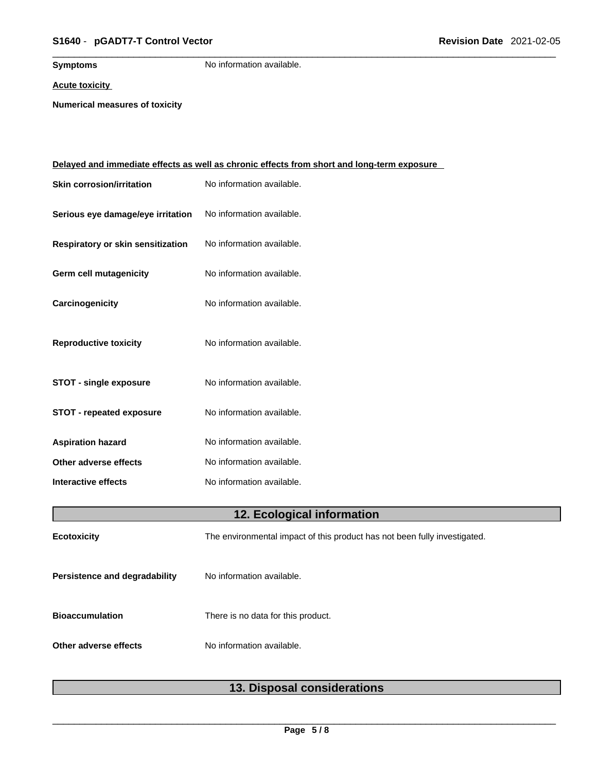### \_\_\_\_\_\_\_\_\_\_\_\_\_\_\_\_\_\_\_\_\_\_\_\_\_\_\_\_\_\_\_\_\_\_\_\_\_\_\_\_\_\_\_\_\_\_\_\_\_\_\_\_\_\_\_\_\_\_\_\_\_\_\_\_\_\_\_\_\_\_\_\_\_\_\_\_\_\_\_\_\_\_\_\_\_\_\_\_\_\_\_\_\_ **S1640** - **pGADT7-T Control Vector Revision Date** 2021-02-05

**Symptoms** No information available.

**Acute toxicity**

**Numerical measures of toxicity**

|                                   | <u>Delayed and immediate effects as well as chronic effects from short and long-term exposure</u> |  |  |
|-----------------------------------|---------------------------------------------------------------------------------------------------|--|--|
| <b>Skin corrosion/irritation</b>  | No information available.                                                                         |  |  |
| Serious eye damage/eye irritation | No information available.                                                                         |  |  |
| Respiratory or skin sensitization | No information available.                                                                         |  |  |
| Germ cell mutagenicity            | No information available.                                                                         |  |  |
| Carcinogenicity                   | No information available.                                                                         |  |  |
| <b>Reproductive toxicity</b>      | No information available.                                                                         |  |  |
| <b>STOT - single exposure</b>     | No information available.                                                                         |  |  |
| <b>STOT - repeated exposure</b>   | No information available.                                                                         |  |  |
| <b>Aspiration hazard</b>          | No information available.                                                                         |  |  |
| Other adverse effects             | No information available.                                                                         |  |  |
| <b>Interactive effects</b>        | No information available.                                                                         |  |  |
|                                   | 12. Ecological information                                                                        |  |  |
| Ecotoxicity                       | The environmental impact of this product has not been fully investigated.                         |  |  |
| Persistence and degradability     | No information available.                                                                         |  |  |
| <b>Bioaccumulation</b>            | There is no data for this product.                                                                |  |  |
| Other adverse effects             | No information available.                                                                         |  |  |
|                                   |                                                                                                   |  |  |

### **13. Disposal considerations**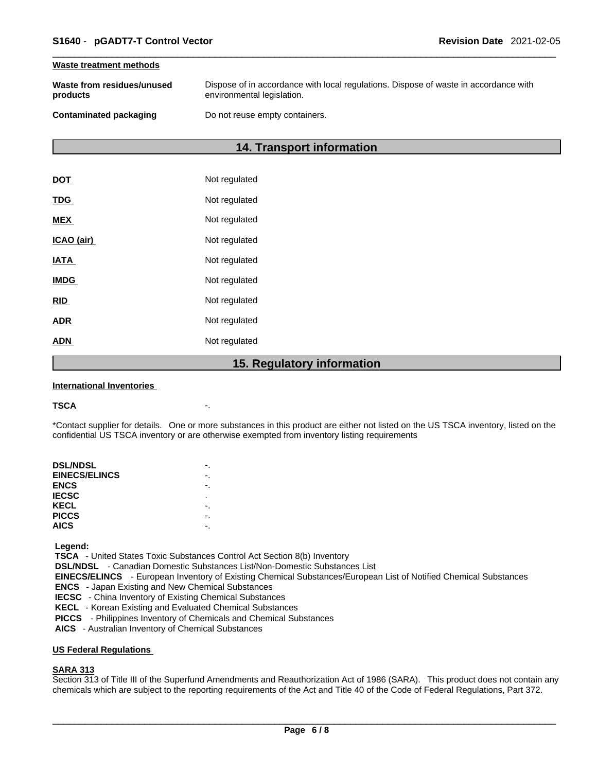#### **Waste treatment methods**

| Waste from residues/unused | Dispose of in accordance with local regulations. Dispose of waste in accordance with |
|----------------------------|--------------------------------------------------------------------------------------|
| products                   | environmental legislation.                                                           |
| Contaminated packaging     | Do not reuse empty containers.                                                       |

### **14. Transport information**

|             | 1 F<br><b>Dogulator</b> |
|-------------|-------------------------|
| <b>ADN</b>  | Not regulated           |
| <b>ADR</b>  | Not regulated           |
| <b>RID</b>  | Not regulated           |
| <b>IMDG</b> | Not regulated           |
| <b>IATA</b> | Not regulated           |
| ICAO (air)  | Not regulated           |
| <b>MEX</b>  | Not regulated           |
| <b>TDG</b>  | Not regulated           |
| <b>DOT</b>  | Not regulated           |

### **15. Regulatory information**

#### **International Inventories**

#### **TSCA** -.

\*Contact supplier for details. One or more substances in this product are either not listed on the US TSCA inventory, listed on the confidential US TSCA inventory or are otherwise exempted from inventory listing requirements

| <b>DSL/NDSL</b>      |   |
|----------------------|---|
| <b>EINECS/ELINCS</b> |   |
| <b>ENCS</b>          |   |
| <b>IECSC</b>         | ٠ |
| KECL                 |   |
| <b>PICCS</b>         |   |
| <b>AICS</b>          |   |
|                      |   |

 **Legend:** 

 **TSCA** - United States Toxic Substances Control Act Section 8(b) Inventory

 **DSL/NDSL** - Canadian Domestic Substances List/Non-Domestic Substances List

 **EINECS/ELINCS** - European Inventory of Existing Chemical Substances/European List of Notified Chemical Substances

 **ENCS** - Japan Existing and New Chemical Substances

 **IECSC** - China Inventory of Existing Chemical Substances

 **KECL** - Korean Existing and Evaluated Chemical Substances

 **PICCS** - Philippines Inventory of Chemicals and Chemical Substances

 **AICS** - Australian Inventory of Chemical Substances

### **US Federal Regulations**

### **SARA 313**

Section 313 of Title III of the Superfund Amendments and Reauthorization Act of 1986 (SARA). This product does not contain any chemicals which are subject to the reporting requirements of the Act and Title 40 of the Code of Federal Regulations, Part 372.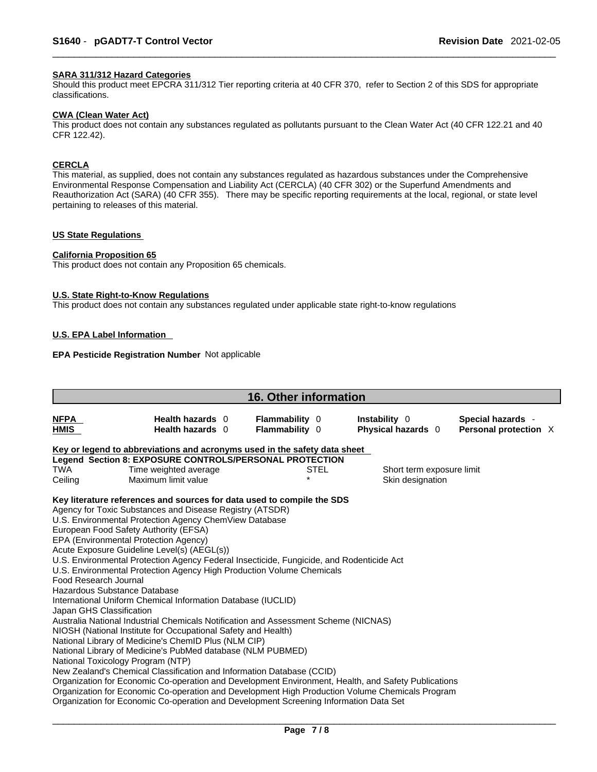### **SARA 311/312 Hazard Categories**

Should this product meet EPCRA 311/312 Tier reporting criteria at 40 CFR 370, refer to Section 2 of this SDS for appropriate classifications.

#### **CWA (Clean WaterAct)**

This product does not contain any substances regulated as pollutants pursuant to the Clean Water Act (40 CFR 122.21 and 40 CFR 122.42).

### **CERCLA**

This material, as supplied, does not contain any substances regulated as hazardous substances under the Comprehensive Environmental Response Compensation and Liability Act (CERCLA) (40 CFR 302) or the Superfund Amendments and Reauthorization Act (SARA) (40 CFR 355). There may be specific reporting requirements at the local, regional, or state level pertaining to releases of this material.

### **US State Regulations**

#### **California Proposition 65**

This product does not contain any Proposition 65 chemicals.

#### **U.S. State Right-to-Know Regulations**

This product does not contain any substances regulated under applicable state right-to-know regulations

### **U.S. EPA Label Information**

### **EPA Pesticide Registration Number** Not applicable